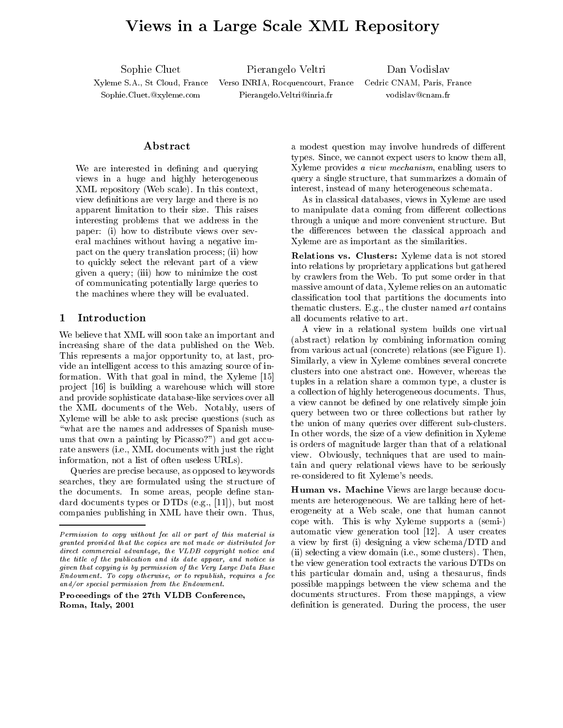# Views in <sup>a</sup> Large Scale XML Repository

Sophie Cluet

 Pierangelo Veltri Dan Vodislav Xyleme S.A., St Cloud, France Verso INRIA, Rocquencourt, France Cedric CNAM, Paris, France Sophie.Cluet.@xyleme.com Pierangelo.Veltri@inria.fr vodislav@cnam.fr

### Abstract

We are interested in defining and querying views in a huge and highly heterogeneous XML repository (Web scale). In this context, view definitions are very large and there is no apparent limitation to their size. This raises interesting problems that we address in the paper: (i) how to distribute views over several machines without having a negative impact on the query translation process; (ii) how to quickly select the relevant part of a view given a query; (iii) how to minimize the cost of communicating potentially large queries to the machines where they will be evaluated.

### 1 Introduction

We believe that XML will soon take an important and increasing share of the data published on the Web. This represents a major opportunity to, at last, provide an intelligent access to this amazing source of information. With that goal in mind, the Xyleme [15] project [16] is building a warehouse which will store and provide sophisticate database-like services over all the XML documents of the Web. Notably, users of Xyleme will be able to ask precise questions (such as "what are the names and addresses of Spanish museums that own a painting by Picasso?") and get accurate answers (i.e., XML documents with just the right information, not a list of often useless URLs).

Queries are precise because, as opposed to keywords searches, they are formulated using the structure of the documents. In some areas, people define standard documents types or DTDs (e.g., [11]), but most companies publishing in XML have their own. Thus,

Proceedings of the 27th VLDB Conference, Roma, Italy, 2001

a modest question may involve hundreds of different types. Since, we cannot expect users to know them all, Xyleme provides a view mechanism, enabling users to query a single structure, that summarizes a domain of interest, instead of many heterogeneous schemata.

As in classical databases, views in Xyleme are used to manipulate data coming from different collections through a unique and more convenient structure. But the differences between the classical approach and Xyleme are as important as the similarities.

Relations vs. Clusters: Xyleme data is not stored into relations by proprietary applications but gathered by crawlers from the Web. To put some order in that massive amount of data, Xyleme relies on an automatic classication tool that partitions the documents into thematic clusters. E.g., the cluster named art contains all documents relative to art.

A view in a relational system builds one virtual (abstract) relation by combining information coming from various actual (concrete) relations (see Figure 1). Similarly, a view in Xyleme combines several concrete clusters into one abstract one. However, whereas the tuples in a relation share a common type, a cluster is a collection of highly heterogeneous documents. Thus, a view cannot be defined by one relatively simple join query between two or three collections but rather by the union of many queries over different sub-clusters. In other words, the size of a view definition in Xyleme is orders of magnitude larger than that of a relational view. Obviously, techniques that are used to maintain and query relational views have to be seriously re-considered to fit Xyleme's needs.

 $\alpha$  view by designing a view schema/DTD and  $\alpha$ this particular domain and, using a thesaurus, finds Human vs. Machine Views are large because documents are heterogeneous. We are talking here of heterogeneity at a Web scale, one that human cannot cope with. This is why Xyleme supports a (semi-) automatic view generation tool [12]. A user creates (ii) selecting a view domain (i.e., some clusters). Then, the view generation tool extracts the various DTDs on possible mappings between the view schema and the documents structures. From these mappings, a view definition is generated. During the process, the user

 $F$ ermission to copy without fee all or part of this material is  $F$ granted provided that the copies are not made or distributed fordirect commercial advantage, the VLDB copyright notice and the title of the publication and its date appear, and notice is  $\mathbf{I}$ given that copying is by permission of the Very Large Data BaseEndowment. To copy otherwise, or to republish, requires a fee and/or special permission from the Endowment.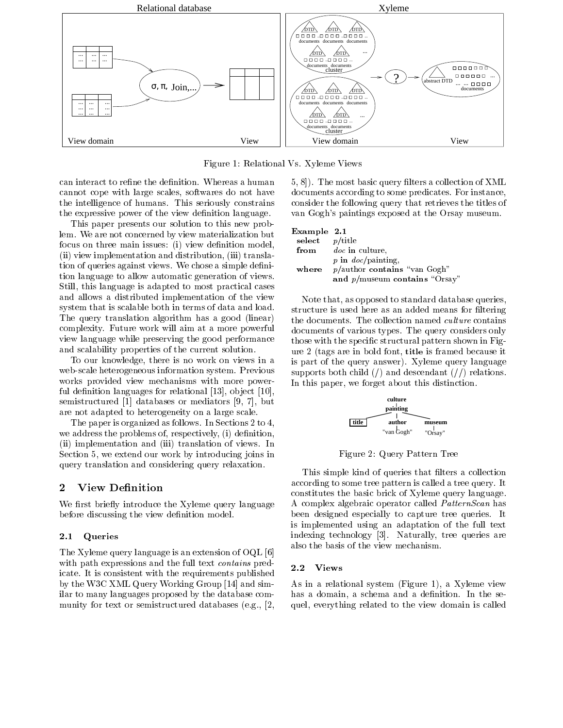

Figure 1: Relational Vs. Xyleme Views

can interact to refine the definition. Whereas a human cannot cope with large scales, softwares do not have the intelligence of humans. This seriously constrains the expressive power of the view definition language.

This paper presents our solution to this new problem. We are not concerned by view materialization but focus on three main issues: (i) view definition model, (ii) view implementation and distribution, (iii) translation of queries against views. We chose a simple definition language to allow automatic generation of views. Still, this language is adapted to most practical cases and allows a distributed implementation of the view system that is scalable both in terms of data and load. The query translation algorithm has a good (linear) complexity. Future work will aim at a more powerful view language while preserving the good performance and scalability properties of the current solution.

To our knowledge, there is no work on views in a web-scale heterogeneous information system. Previous works provided view mechanisms with more powerful definition languages for relational  $[13]$ , object  $[10]$ , semistructured [1] databases or mediators [9, 7], but are not adapted to heterogeneity on a large scale.

The paper is organized as follows. In Sections 2 to 4, we address the problems of, respectively, (i) definition, (ii) implementation and (iii) translation of views. In Section 5, we extend our work by introducing joins in query translation and considering query relaxation.

## 2 View Definition

We first briefly introduce the Xyleme query language before discussing the view definition model.

### 2.1 Queries

The Xyleme query language is an extension of OQL [6] with path expressions and the full text *contains* predicate. It is consistent with the requirements published by the W3C XML Query Working Group [14] and similar to many languages proposed by the database com munity for text or semistructured databases (e.g., [2, 5, 8. The most basic query filters a collection of XML documents according to some predicates. For instance, consider the following query that retrieves the titles of van Gogh's paintings exposed at the Orsay museum.

| Example 2.1       |                                       |
|-------------------|---------------------------------------|
| select $p$ /title |                                       |
|                   | from <i>doc</i> in culture,           |
|                   | $p$ in $doc/painting$ ,               |
|                   | where $p/$ author contains "van Gogh" |
|                   | and $p/m$ useum contains "Orsay"      |

Note that, as opposed to standard database queries, structure is used here as an added means for filtering the documents. The collection named culture contains documents of various types. The query considers only those with the specific structural pattern shown in Figure 2 (tags are in bold font, title is framed because it is part of the query answer). Xyleme query language supports both child  $\ell$  and descendant  $\ell$  relations. In this paper, we forget about this distinction.



Figure 2: Query Pattern Tree

This simple kind of queries that filters a collection according to some tree pattern is called a tree query. It constitutes the basic brick of Xyleme query language. A complex algebraic operator called PatternScan has been designed especially to capture tree queries. It is implemented using an adaptation of the full text indexing technology [3]. Naturally, tree queries are also the basis of the view mechanism.

As in a relational system (Figure 1), a Xyleme view has a domain, a schema and a definition. In the sequel, everything related to the view domain is called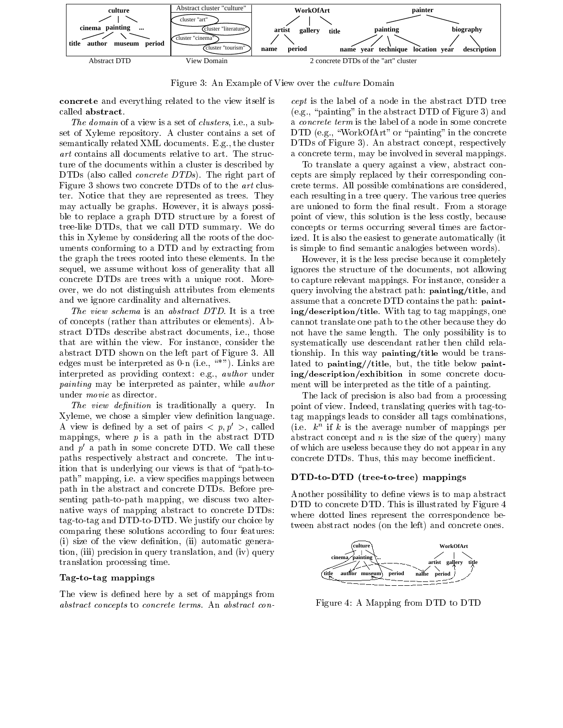

Figure 3: An Example of View over the *culture* Domain

concrete and everything related to the view itself is called abstract.

The domain of a view is a set of *clusters*, i.e., a subset of Xyleme repository. A cluster contains a set of semantically related XML documents. E.g., the cluster art contains all documents relative to art. The structure of the documents within a cluster is described by DTDs (also called *concrete DTDs*). The right part of Figure 3 shows two concrete DTDs of to the art cluster. Notice that they are represented as trees. They may actually be graphs. However, it is always possible to replace a graph DTD structure by a forest of tree-like DTDs, that we call DTD summary. We do this in Xyleme by considering all the roots of the documents conforming to a DTD and by extracting from the graph the trees rooted into these elements. In the sequel, we assume without loss of generality that all concrete DTDs are trees with a unique root. Moreover, we do not distinguish attributes from elements and we ignore cardinality and alternatives.

The view schema is an abstract DTD. It is a tree of concepts (rather than attributes or elements). Abstract DTDs describe abstract documents, i.e., those that are within the view. For instance, consider the abstract DTD shown on the left part of Figure 3. All edges must be interpreted as  $0$ -n (i.e., "\*"). Links are interpreted as providing context: e.g., author under painting may be interpreted as painter, while author under movie as director.

The view definition is traditionally a query. In Xyleme, we chose a simpler view definition language. A view is defined by a set of pairs  $\langle p, p' \rangle$ , called mappings, where  $p$  is a path in the abstract DTD and  $p'$  a path in some concrete DTD. We call these paths respectively abstract and concrete. The intuition that is underlying our views is that of "path-topath" mapping, i.e. a view specifies mappings between path in the abstract and concrete DTDs. Before presenting path-to-path mapping, we discuss two alternative ways of mapping abstract to concrete DTDs: tag-to-tag and DTD-to-DTD. We justify our choice by comparing these solutions according to four features: (i) size of the view definition, (ii) automatic generation, (iii) precision in query translation, and (iv) query translation processing time.

### Tag-to-tag mappings

The view is defined here by a set of mappings from abstract concepts to concrete terms. An abstract concept is the label of a node in the abstract DTD tree (e.g., "painting" in the abstract DTD of Figure 3) and a concrete term is the label of a node in some concrete DTD (e.g., "WorkOfArt" or "painting" in the concrete DTDs of Figure 3). An abstract concept, respectively a concrete term, may be involved in several mappings.

To translate a query against a view, abstract concepts are simply replaced by their corresponding concrete terms. All possible combinations are considered, each resulting in a tree query. The various tree queries are unioned to form the final result. From a storage point of view, this solution is the less costly, because concepts or terms occurring several times are factorized. It is also the easiest to generate automatically (it is simple to find semantic analogies between words).

However, it is the less precise because it completely ignores the structure of the documents, not allowing to capture relevant mappings. For instance, consider a query involving the abstract path: painting/title, and assume that a concrete DTD contains the path: painting/description/title. With tag to tag mappings, one cannot translate one path to the other because they do not have the same length. The only possibility is to systematically use descendant rather then child relationship. In this way painting/title would be translated to painting//title, but, the title below painting/description/exhibition in some concrete document will be interpreted as the title of a painting.

The lack of precision is also bad from a processing point of view. Indeed, translating queries with tag-totag mappings leads to consider all tags combinations, (i.e.  $\kappa$  if  $\kappa$  is the average number of mappings per abstract concept and  $n$  is the size of the query) many of which are useless because they do not appear in any concrete DTDs. Thus, this may become inefficient.

### DTD-to-DTD (tree-to-tree) mappings

Another possibility to define views is to map abstract DTD to concrete DTD. This is illustrated by Figure 4 where dotted lines represent the correspondence between abstract nodes (on the left) and concrete ones.



Figure 4: A Mapping from DTD to DTD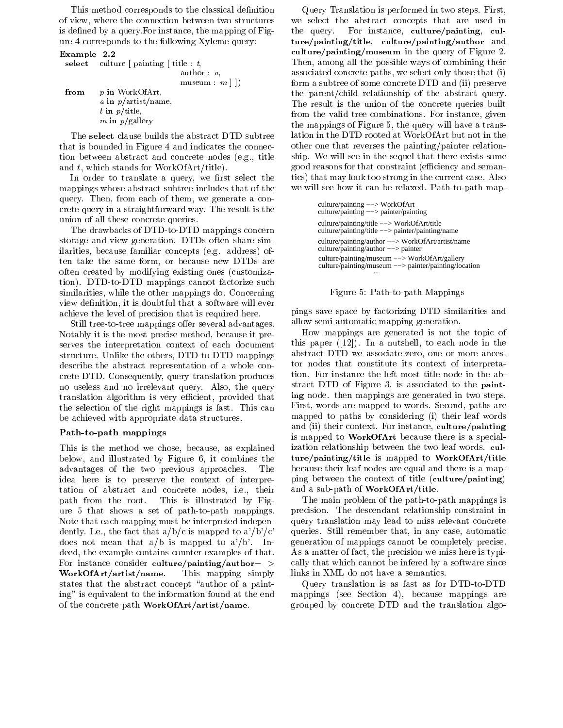This method corresponds to the classical definition of view, where the connection between two structures is defined by a query. For instance, the mapping of Figure 4 corresponds to the following Xyleme query:

### Example 2.2

|      | select culture   painting   title : t, |
|------|----------------------------------------|
|      | $\text{author}: a,$                    |
|      | museum : $m \mid \cdot \mid$           |
| from | p in WorkOfArt.                        |
|      | a in $p/\text{artist}/\text{name}$ ,   |
|      | $t$ in $p$ /title,                     |
|      | m in $p/g$ allery                      |

The select clause builds the abstract DTD subtree that is bounded in Figure 4 and indicates the connection between abstract and concrete nodes (e.g., title and t, which stands for WorkOfArt/title).

In order to translate a query, we first select the mappings whose abstract subtree includes that of the query. Then, from each of them, we generate a concrete query in a straightforward way. The result is the union of all these concrete queries.

The drawbacks of DTD-to-DTD mappings concern storage and view generation. DTDs often share similarities, because familiar concepts (e.g. address) often take the same form, or because new DTDs are often created by modifying existing ones (customization). DTD-to-DTD mappings cannot factorize such similarities, while the other mappings do. Concerning view definition, it is doubtful that a software will ever achieve the level of precision that is required here.

Still tree-to-tree mappings offer several advantages. Notably it is the most precise method, because it preserves the interpretation context of each document structure. Unlike the others, DTD-to-DTD mappings describe the abstract representation of a whole concrete DTD. Consequently, query translation produces no useless and no irrelevant query. Also, the query translation algorithm is very efficient, provided that the selection of the right mappings is fast. This can be achieved with appropriate data structures.

### Path-to-path mappings

This is the method we chose, because, as explained below, and illustrated by Figure 6, it combines the advantages of the two previous approaches. The idea here is to preserve the context of interpretation of abstract and concrete nodes, i.e., their path from the root. This is illustrated by Figure 5 that shows a set of path-to-path mappings. Note that each mapping must be interpreted independently. I.e., the fact that  $a/b/c$  is mapped to  $a'/b'/c'$ does not mean that  $a/b$  is mapped to  $a'/b'$ . Indeed, the example contains counter-examples of that. For instance consider culture/painting/author- $>$ WorkOfArt/artist/name. This mapping simply states that the abstract concept "author of a painting" is equivalent to the information found at the end of the concrete path WorkOfArt/artist/name.

Query Translation is performed in two steps. First, we select the abstract concepts that are used in the query. For instance, culture/painting, culture/painting/title, culture/painting/author and culture/painting/museum in the query of Figure 2. Then, among all the possible ways of combining their associated concrete paths, we select only those that (i) form a subtree of some concrete DTD and (ii) preserve the parent/child relationship of the abstract query. The result is the union of the concrete queries built from the valid tree combinations. For instance, given the mappings of Figure 5, the query will have a translation in the DTD rooted at WorkOfArt but not in the other one that reverses the painting/painter relationship. We will see in the sequel that there exists some good reasons for that constraint (efficiency and semantics) that may look too strong in the current case. Also we will see how it can be relaxed. Path-to-path map-

| culture/painting $\rightarrow$ WorkOfArt<br>culture/painting --> painter/painting                                |
|------------------------------------------------------------------------------------------------------------------|
| culture/painting/title --> WorkOfArt/title<br>culture/painting/title $\rightarrow$ painter/painting/name         |
| culture/painting/author --> WorkOfArt/artist/name<br>culture/painting/author $\rightarrow$ painter               |
| culture/painting/museum --> WorkOfArt/gallery<br>culture/painting/museum $\rightarrow$ painter/painting/location |
|                                                                                                                  |

### Figure 5: Path-to-path Mappings

pings save space by factorizing DTD similarities and allow semi-automatic mapping generation.

How mappings are generated is not the topic of this paper ([12]). In a nutshell, to each node in the abstract DTD we associate zero, one or more ancestor nodes that constitute its context of interpretation. For instance the left most title node in the abstract DTD of Figure 3, is associated to the painting node. then mappings are generated in two steps. First, words are mapped to words. Second, paths are mapped to paths by considering (i) their leaf words and (ii) their context. For instance, culture/painting is mapped to WorkOfArt because there is a specialization relationship between the two leaf words. culture/painting/title is mapped to WorkOfArt/title because their leaf nodes are equal and there is a mapping between the context of title (culture/painting) and a sub-path of WorkOfArt/title.

The main problem of the path-to-path mappings is precision. The descendant relationship constraint in query translation may lead to miss relevant concrete queries. Still remember that, in any case, automatic generation of mappings cannot be completely precise. As a matter of fact, the precision we miss here is typically that which cannot be infered by a software since links in XML do not have a semantics.

Query translation is as fast as for DTD-to-DTD mappings (see Section 4), because mappings are grouped by concrete DTD and the translation algo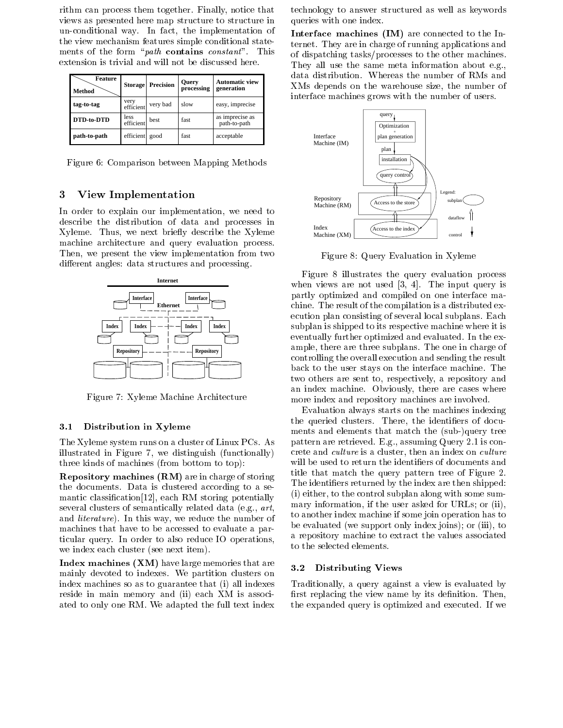rithm can process them together. Finally, notice that views as presented here map structure to structure in un-conditional way. In fact, the implementation of the view mechanism features simple conditional statements of the form "*path* contains *constant*". This extension is trivial and will not be discussed here.

| Feature<br>Method | <b>Storage</b>    | <b>Precision</b> | Query<br>processing | <b>Automatic view</b><br>generation |
|-------------------|-------------------|------------------|---------------------|-------------------------------------|
| tag-to-tag        | very<br>efficient | very bad         | slow                | easy, imprecise                     |
| DTD-to-DTD        | less<br>efficient | hest             | fast                | as imprecise as<br>path-to-path     |
| path-to-path      | efficient         | good             | fast                | acceptable                          |

Figure 6: Comparison between Mapping Methods

### 3 View Implementation

In order to explain our implementation, we need to describe the distribution of data and processes in Xyleme. Thus, we next briefly describe the Xyleme machine architecture and query evaluation process. Then, we present the view implementation from two different angles: data structures and processing.



Figure 7: Xyleme Machine Architecture

### $3.1$ Distribution in Xyleme

The Xyleme system runs on a cluster of Linux PCs. As illustrated in Figure 7, we distinguish (functionally) three kinds of machines (from bottom to top):

Repository machines (RM) are in charge of storing the documents. Data is clustered according to a semantic classification [12], each RM storing potentially several clusters of semantically related data (e.g., art, and literature). In this way, we reduce the number of machines that have to be accessed to evaluate a particular query. In order to also reduce IO operations, we index each cluster (see next item).

Index machines (XM) have large memories that are 3.2 mainly devoted to indexes. We partition clusters on index machines so as to guarantee that (i) all indexes reside in main memory and (ii) each XM is associated to only one RM. We adapted the full text index

technology to answer structured as well as keywords queries with one index.

Interface machines (IM) are connected to the Internet. They are in charge of running applications and of dispatching tasks/processes to the other machines. They all use the same meta information about e.g., data distribution. Whereas the number of RMs and XMs depends on the warehouse size, the number of interface machines grows with the number of users.



Figure 8: Query Evaluation in Xyleme

Figure 8 illustrates the query evaluation process when views are not used [3, 4]. The input query is partly optimized and compiled on one interface machine. The result of the compilation is a distributed execution plan consisting of several local subplans. Each subplan is shipped to its respective machine where it is eventually further optimized and evaluated. In the example, there are three subplans. The one in charge of controlling the overall execution and sending the result back to the user stays on the interface machine. The two others are sent to, respectively, a repository and an index machine. Obviously, there are cases where more index and repository machines are involved.

Evaluation always starts on the machines indexing the queried clusters. There, the identifiers of documents and elements that match the (sub-)query tree pattern are retrieved. E.g., assuming Query 2.1 is concrete and culture is a cluster, then an index on culture will be used to return the identifiers of documents and title that match the query pattern tree of Figure 2. The identiers returned by the index are then shipped: (i) either, to the control subplan along with some summary information, if the user asked for URLs; or (ii), to another index machine if some join operation has to be evaluated (we support only index joins); or (iii), to a repository machine to extract the values associated to the selected elements.

### Distributing Views

Traditionally, a query against a view is evaluated by first replacing the view name by its definition. Then, the expanded query is optimized and executed. If we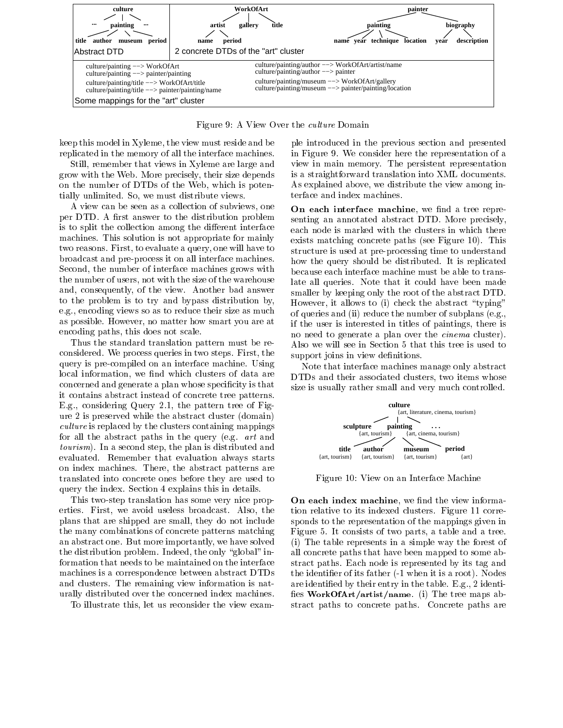

Figure 9: A View Over the culture Domain

keep this model in Xyleme, the view must reside and be replicated in the memory of all the interface machines.

Still, remember that views in Xyleme are large and grow with the Web. More precisely, their size depends on the number of DTDs of the Web, which is potentially unlimited. So, we must distribute views.

A view can be seen as a collection of subviews, one per DTD. A first answer to the distribution problem is to split the collection among the different interface machines. This solution is not appropriate for mainly two reasons. First, to evaluate a query, one will have to broadcast and pre-process it on all interface machines. Second, the number of interface machines grows with the number of users, not with the size of the warehouse and, consequently, of the view. Another bad answer to the problem is to try and bypass distribution by, e.g., encoding views so as to reduce their size as much as possible. However, no matter how smart you are at encoding paths, this does not scale.

Thus the standard translation pattern must be reconsidered. We process queries in two steps. First, the query is pre-compiled on an interface machine. Using local information, we find which clusters of data are concerned and generate a plan whose specificity is that it contains abstract instead of concrete tree patterns. E.g., considering Query 2.1, the pattern tree of Figure 2 is preserved while the abstract cluster (domain) culture is replaced by the clusters containing mappings for all the abstract paths in the query (e.g. art and tourism). In a second step, the plan is distributed and evaluated. Remember that evaluation always starts on index machines. There, the abstract patterns are translated into concrete ones before they are used to query the index. Section 4 explains this in details.

This two-step translation has some very nice properties. First, we avoid useless broadcast. Also, the plans that are shipped are small, they do not include the many combinations of concrete patterns matching an abstract one. But more importantly, we have solved the distribution problem. Indeed, the only "global" information that needs to be maintained on the interface machines is a correspondence between abstract DTDs and clusters. The remaining view information is naturally distributed over the concerned index machines.

To illustrate this, let us reconsider the view exam-

ple introduced in the previous section and presented in Figure 9. We consider here the representation of a view in main memory. The persistent representation is a straightforward translation into XML documents. As explained above, we distribute the view among interface and index machines.

On each interface machine, we find a tree representing an annotated abstract DTD. More precisely, each node is marked with the clusters in which there exists matching concrete paths (see Figure 10). This structure is used at pre-processing time to understand how the query should be distributed. It is replicated because each interface machine must be able to translate all queries. Note that it could have been made smaller by keeping only the root of the abstract DTD. However, it allows to (i) check the abstract "typing" of queries and (ii) reduce the number of subplans (e.g., if the user is interested in titles of paintings, there is no need to generate a plan over the cinema cluster). Also we will see in Section 5 that this tree is used to support joins in view definitions.

Note that interface machines manage only abstract DTDs and their associated clusters, two items whose size is usually rather small and very much controlled.



Figure 10: View on an Interface Machine

On each index machine, we find the view information relative to its indexed clusters. Figure 11 corresponds to the representation of the mappings given in Figure 5. It consists of two parts, a table and a tree. (i) The table represents in a simple way the forest of all concrete paths that have been mapped to some abstract paths. Each node is represented by its tag and the identifier of its father  $(-1$  when it is a root). Nodes are identied by their entry in the table. E.g., 2 identi fies WorkOfArt/artist/name. (i) The tree maps abstract paths to concrete paths. Concrete paths are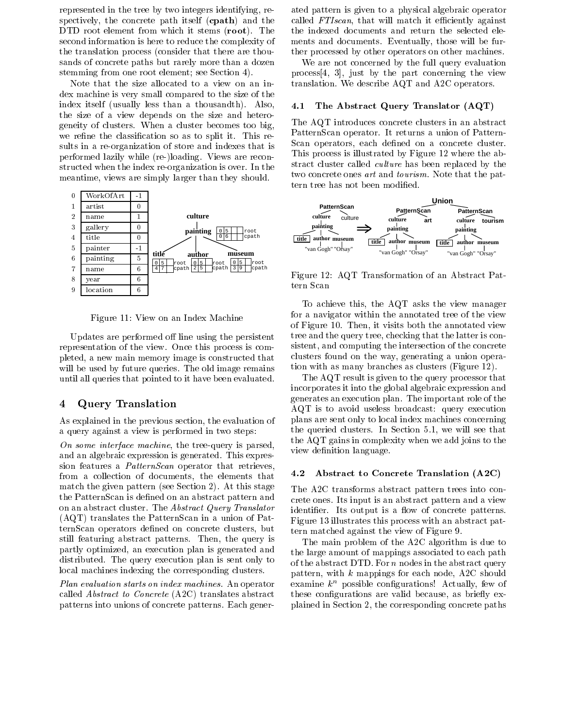represented in the tree by two integers identifying, respectively, the concrete path itself (cpath) and the DTD root element from which it stems (root). The second information is here to reduce the complexity of the translation process (consider that there are thousands of concrete paths but rarely more than a dozen stemming from one root element; see Section 4).

Note that the size allocated to a view on an index machine is very small compared to the size of the index itself (usually less than a thousandth). Also, 4.1 the size of a view depends on the size and heterogeneity of clusters. When a cluster becomes too big, we refine the classification so as to split it. This results in a re-organization of store and indexes that is performed lazily while (re-)loading. Views are reconstructed when the index re-organization is over. In the meantime, views are simply larger than they should.



Figure 11: View on an Index Machine

Updates are performed off line using the persistent representation of the view. Once this process is completed, a new main memory image is constructed that will be used by future queries. The old image remains until all queries that pointed to it have been evaluated.

### 4 Query Translation

As explained in the previous section, the evaluation of a query against a view is performed in two steps:

On some interface machine, the tree-query is parsed, and an algebraic expression is generated. This expression features a *PatternScan* operator that retrieves,<br> $f_{\text{rom 2}}$  collection of documents, the elements that  $\overline{4.2}$ from a collection of documents, the elements that match the given pattern (see Section 2). At this stage the PatternScan is defined on an abstract pattern and on an abstract cluster. The Abstract Query Translator (AQT) translates the PatternScan in a union of PatternScan operators defined on concrete clusters, but still featuring abstract patterns. Then, the query is partly optimized, an execution plan is generated and distributed. The query execution plan is sent only to local machines indexing the corresponding clusters.

Plan evaluation starts on index machines. An operator called Abstract to Concrete (A2C) translates abstract patterns into unions of concrete patterns. Each generated pattern is given to a physical algebraic operator called  $FTIscan$ , that will match it efficiently against the indexed documents and return the selected elements and documents. Eventually, those will be further processed by other operators on other machines.

We are not concerned by the full query evaluation process[4, 3], just by the part concerning the view translation. We describe AQT and A2C operators.

### The Abstract Query Translator (AQT)

The AQT introduces concrete clusters in an abstract PatternScan operator. It returns a union of Pattern-Scan operators, each defined on a concrete cluster. This process is illustrated by Figure 12 where the abstract cluster called culture has been replaced by the two concrete ones art and tourism. Note that the pattern tree has not been modified.



Figure 12: AQT Transformation of an Abstract Pattern Scan

To achieve this, the AQT asks the view manager for a navigator within the annotated tree of the view of Figure 10. Then, it visits both the annotated view tree and the query tree, checking that the latter is consistent, and computing the intersection of the concrete clusters found on the way, generating a union operation with as many branches as clusters (Figure 12).

The AQT result is given to the query processor that incorporates it into the global algebraic expression and generates an execution plan. The important role of the AQT is to avoid useless broadcast: query execution plans are sent only to local index machines concerning the queried clusters. In Section 5.1, we will see that the AQT gains in complexity when we add joins to the view definition language.

### Abstract to Concrete Translation (A2C)

The A2C transforms abstract pattern trees into concrete ones. Its input is an abstract pattern and a view identifier. Its output is a flow of concrete patterns. Figure 13 illustrates this process with an abstract pattern matched against the view of Figure 9.

The main problem of the A2C algorithm is due to the large amount of mappings associated to each path of the abstract DTD. For  $n$  nodes in the abstract query pattern, with <sup>k</sup> mappings for each node, A2C should examine  $k^n$  possible configurations! Actually, few of these configurations are valid because, as briefly explained in Section 2, the corresponding concrete paths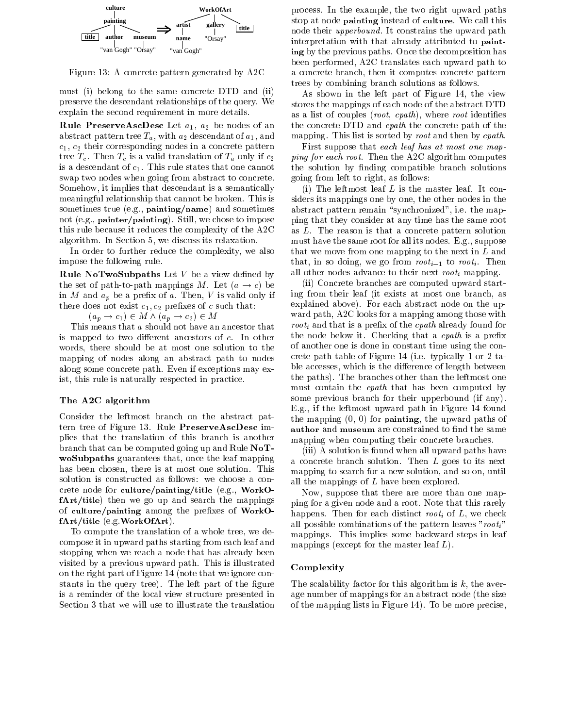

Figure 13: A concrete pattern generated by A2C

must (i) belong to the same concrete DTD and (ii) preserve the descendant relationships of the query. We explain the second requirement in more details.

**Rule PreserveAscDesc** Let  $a_1$ ,  $a_2$  be nodes of an abstract pattern tree  $T_a$ , with  $a_2$  descendant of  $a_1$ , and  $c_1, c_2$  their corresponding nodes in a concrete pattern tree  $T_c$ . Then  $T_c$  is a valid translation of  $T_a$  only if  $c_2$ is a descendant of  $c_1$ . This rule states that one cannot swap two nodes when going from abstract to concrete. Somehow, it implies that descendant is a semantically meaningful relationship that cannot be broken. This is sometimes true (e.g., painting/name) and sometimes not (e.g., painter/painting). Still, we chose to impose this rule because it reduces the complexity of the A2C algorithm. In Section 5, we discuss its relaxation.

In order to further reduce the complexity, we also impose the following rule.

**Rule NoTwoSubpaths** Let  $V$  be a view defined by the set of path-to-path mappings M. Let  $(a \rightarrow c)$  be in M and  $a_p$  be a prefix of a. Then, V is valid only if there does not exist  $c_1, c_2$  prefixes of c such that:

 $(a_p \rightarrow c_1) \in M \wedge (a_p \rightarrow c_2) \in M$ 

This means that <sup>a</sup> should not have an ancestor that is mapped to two different ancestors of  $c$ . In other words, there should be at most one solution to the mapping of nodes along an abstract path to nodes along some concrete path. Even if exceptions may exist, this rule is naturally respected in practice.

### The A2C algorithm

Consider the leftmost branch on the abstract pattern tree of Figure 13. Rule PreserveAscDesc implies that the translation of this branch is another branch that can be computed going up and Rule NoT woSubpaths guarantees that, once the leaf mapping has been chosen, there is at most one solution. This solution is constructed as follows: we choose a concrete node for culture/painting/title (e.g., WorkOfArt/title) then we go up and search the mappings of culture/painting among the prefixes of WorkOfArt/title (e.g.WorkOfArt).

To compute the translation of a whole tree, we decompose it in upward paths starting from each leaf and stopping when we reach a node that has already been visited by a previous upward path. This is illustrated on the right part of Figure 14 (note that we ignore constants in the query tree). The left part of the figure is a reminder of the local view structure presented in Section 3 that we will use to illustrate the translation

process. In the example, the two right upward paths stop at node painting instead of culture. We call this node their upperbound. It constrains the upward path interpretation with that already attributed to painting by the previous paths. Once the decomposition has been performed, A2C translates each upward path to a concrete branch, then it computes concrete pattern trees by combining branch solutions as follows.

As shown in the left part of Figure 14, the view stores the mappings of each node of the abstract DTD as a list of couples  $(root, \; cpath)$ , where root identifies the concrete DTD and cpath the concrete path of the mapping. This list is sorted by root and then by cpath.

First suppose that each leaf has at most one mapping for each root. Then the A2C algorithm computes the solution by finding compatible branch solutions going from left to right, as follows:

(i) The leftmost leaf  $L$  is the master leaf. It considers its mappings one by one, the other nodes in the abstract pattern remain "synchronized", i.e. the mapping that they consider at any time has the same root as L. The reason is that a concrete pattern solution must have the same root for all its nodes. E.g., suppose that we move from one mapping to the next in  $L$  and that, in so doing, we go from  $root_{i-1}$  to root<sub>i</sub>. Then all other nodes advance to their next  $root_i$  mapping.

(ii) Concrete branches are computed upward starting from their leaf (it exists at most one branch, as explained above). For each abstract node on the up ward path, A2C looks for a mapping among those with *root<sub>i</sub>* and that is a prefix of the *cpath* already found for the node below it. Checking that a  $\epsilon$ *path* is a prefix of another one is done in constant time using the concrete path table of Figure 14 (i.e. typically 1 or 2 table accesses, which is the difference of length between the paths). The branches other than the leftmost one must contain the cpath that has been computed by some previous branch for their upperbound (if any). E.g., if the leftmost upward path in Figure 14 found the mapping  $(0, 0)$  for **painting**, the upward paths of author and museum are constrained to find the same mapping when computing their concrete branches.

(iii) A solution is found when all upward paths have a concrete branch solution. Then <sup>L</sup> goes to its next mapping to search for a new solution, and so on, until all the mappings of <sup>L</sup> have been explored.

Now, suppose that there are more than one mapping for a given node and a root. Note that this rarely happens. Then for each distinct root<sub>i</sub> of  $L$ , we check all possible combinations of the pattern leaves " $root_i$ " mappings. This implies some backward steps in leaf mappings (except for the master leaf  $L$ ).

### Complexity

The scalability factor for this algorithm is  $k$ , the average number of mappings for an abstract node (the size of the mapping lists in Figure 14). To be more precise,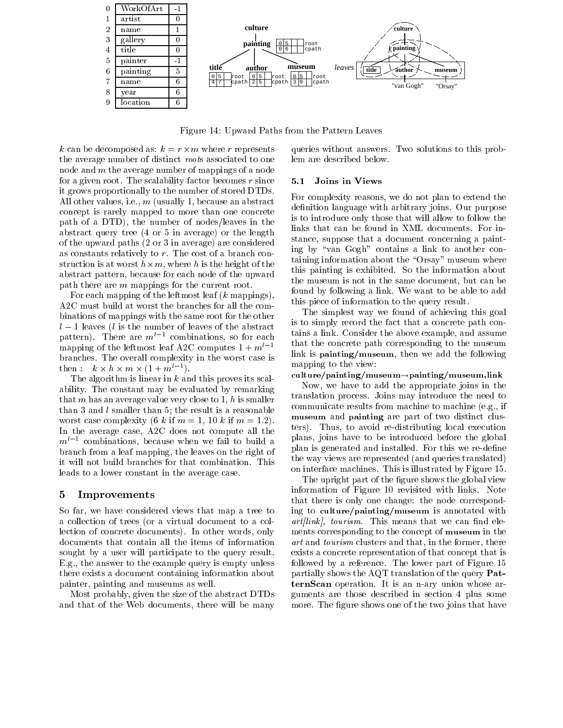

Figure 14: Upward Paths from the Pattern Leaves

<sup>k</sup> can be decomposed as: <sup>k</sup> = <sup>r</sup> -<sup>m</sup> where <sup>r</sup> represents the average number of distinct roots associated to one node and <sup>m</sup> the average number of mappings of a node for a given root. The scalability factor becomes  $r$  since  $5.1$ it grows proportionally to the number of stored DTDs. All other values, i.e., <sup>m</sup> (usually 1, because an abstract concept is rarely mapped to more than one concrete path of a DTD), the number of nodes/leaves in the abstract query tree (4 or 5 in average) or the length of the upward paths (2 or 3 in average) are considered as constants relatively to r. The cost of a branch construction is at which is the model in the form  $\Delta$  is the form in the height of the  $\Delta$ abstract pattern, because for each node of the upward path there are <sup>m</sup> mappings for the current root.

For each mapping of the leftmost leaf (k mappings), A2C must build at worst the branches for all the combinations of mappings with the same root for the other  $l-1$  leaves (l is the number of leaves of the abstract pattern). There are  $m^{l-1}$  combinations, so for each mapping of the leftmost leaf A2C computes  $1 + m^{l-1}$ branches. The overall complexity in the worst case is then  $\kappa \times n \times m \times (1 + m^2)$ .

The algorithm is linear in  $k$  and this proves its scalability. The constant may be evaluated by remarking that m has an average value very close to  $1, h$  is smaller than 3 and <sup>l</sup> smaller than 5; the result is a reasonable worst case complexity (6 k if  $m = 1$ , 10 k if  $m = 1.2$ ). In the average case, A2C does not compute all the  $m^{l-1}$  combinations, because when we fail to build a branch from a leaf mapping, the leaves on the right of it will not build branches for that combination. This leads to a lower constant in the average case.

### 5 Improvements

So far, we have considered views that map a tree to a collection of trees (or a virtual document to a collection of concrete documents). In other words, only documents that contain all the items of information sought by a user will participate to the query result. E.g., the answer to the example query is empty unless there exists a document containing information about painter, painting and museums as well.

Most probably, given the size of the abstract DTDs and that of the Web documents, there will be many queries without answers. Two solutions to this problem are described below.

### 5.1 Joins in Views

For complexity reasons, we do not plan to extend the definition language with arbitrary joins. Our purpose is to introduce only those that will allow to follow the links that can be found in XML documents. For instance, suppose that a document concerning a painting by "van  $Gogh$ " contains a link to another containing information about the "Orsay" museum where this painting is exhibited. So the information about the museum is not in the same document, but can be found by following a link. We want to be able to add this piece of information to the query result.

The simplest way we found of achieving this goal is to simply record the fact that a concrete path contains a link. Consider the above example, and assume that the concrete path corresponding to the museum link is painting/museum, then we add the following mapping to the view:

culture/painting/museum $\rightarrow$ painting/museum,link

Now, we have to add the appropriate joins in the translation process. Joins may introduce the need to communicate results from machine to machine (e.g., if museum and painting are part of two distinct clusters). Thus, to avoid re-distributing local execution plans, joins have to be introduced before the global plan is generated and installed. For this we re-define the way views are represented (and queries translated) on interface machines. This is illustrated by Figure 15.

The upright part of the figure shows the global view information of Figure 10 revisited with links. Note that there is only one change: the node corresponding to culture/painting/museum is annotated with  $art[link]$ , tourism. This means that we can find elements corresponding to the concept of museum in the art and tourism clusters and that, in the former, there exists a concrete representation of that concept that is followed by a reference. The lower part of Figure 15 partially shows the AQT translation of the query PatternScan operation. It is an n-ary union whose arguments are those described in section 4 plus some more. The figure shows one of the two joins that have